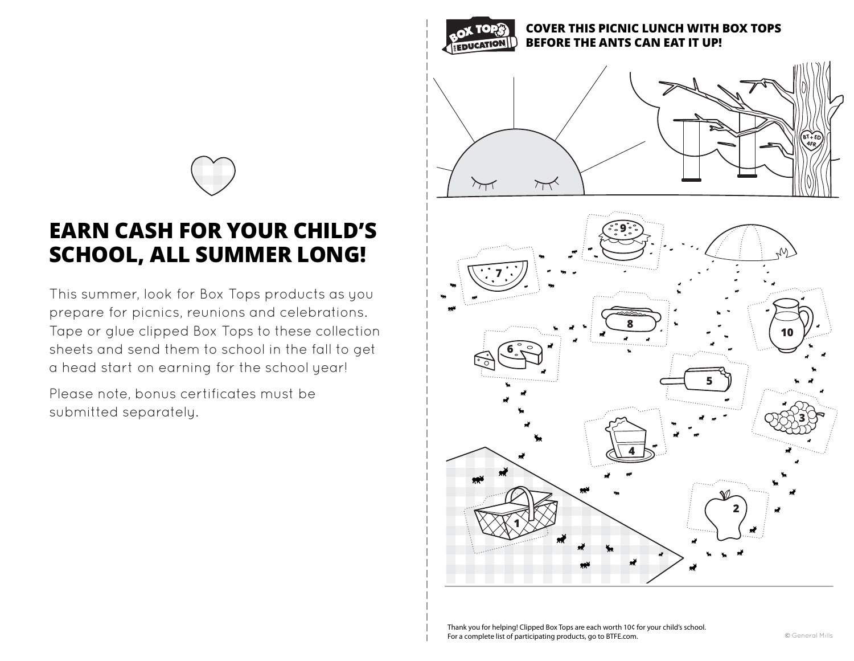

This summer, look for Box Tops products as you prepare for picnics, reunions and celebrations. Tape or glue clipped Box Tops to these collection sheets and send them to school in the fall to get a head start on earning for the school year!

Please note, bonus certificates must be submitted separately.



Thank you for helping! Clipped Box Tops are each worth 10¢ for your child's school. For a complete list of participating products, go to BTFE.com.